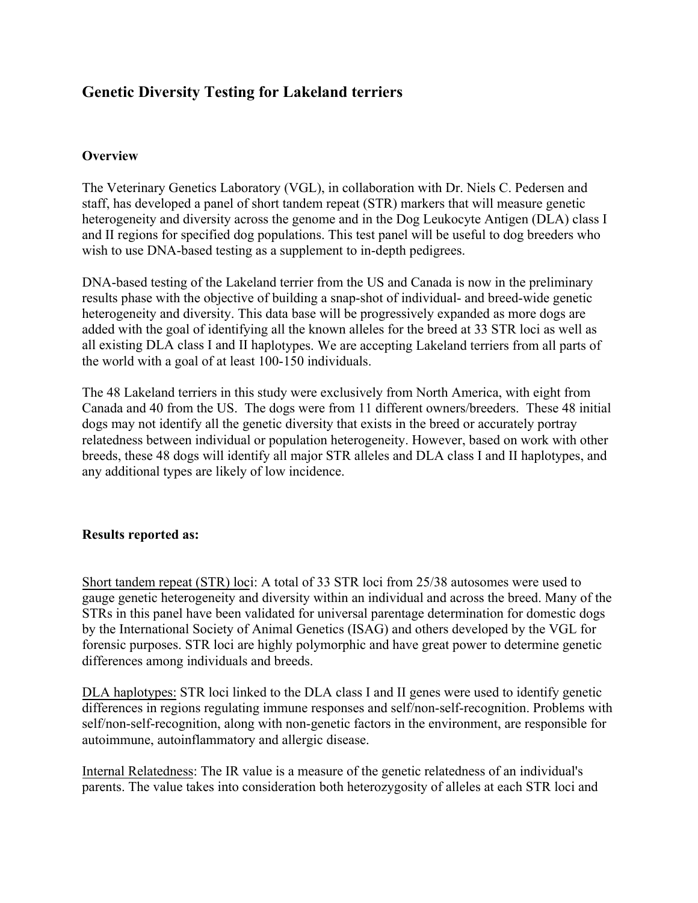# **Genetic Diversity Testing for Lakeland terriers**

#### **Overview**

The Veterinary Genetics Laboratory (VGL), in collaboration with Dr. Niels C. Pedersen and staff, has developed a panel of short tandem repeat (STR) markers that will measure genetic heterogeneity and diversity across the genome and in the Dog Leukocyte Antigen (DLA) class I and II regions for specified dog populations. This test panel will be useful to dog breeders who wish to use DNA-based testing as a supplement to in-depth pedigrees.

DNA-based testing of the Lakeland terrier from the US and Canada is now in the preliminary results phase with the objective of building a snap-shot of individual- and breed-wide genetic heterogeneity and diversity. This data base will be progressively expanded as more dogs are added with the goal of identifying all the known alleles for the breed at 33 STR loci as well as all existing DLA class I and II haplotypes. We are accepting Lakeland terriers from all parts of the world with a goal of at least 100-150 individuals.

The 48 Lakeland terriers in this study were exclusively from North America, with eight from Canada and 40 from the US. The dogs were from 11 different owners/breeders. These 48 initial dogs may not identify all the genetic diversity that exists in the breed or accurately portray relatedness between individual or population heterogeneity. However, based on work with other breeds, these 48 dogs will identify all major STR alleles and DLA class I and II haplotypes, and any additional types are likely of low incidence.

#### **Results reported as:**

Short tandem repeat (STR) loci: A total of 33 STR loci from 25/38 autosomes were used to gauge genetic heterogeneity and diversity within an individual and across the breed. Many of the STRs in this panel have been validated for universal parentage determination for domestic dogs by the International Society of Animal Genetics (ISAG) and others developed by the VGL for forensic purposes. STR loci are highly polymorphic and have great power to determine genetic differences among individuals and breeds.

DLA haplotypes: STR loci linked to the DLA class I and II genes were used to identify genetic differences in regions regulating immune responses and self/non-self-recognition. Problems with self/non-self-recognition, along with non-genetic factors in the environment, are responsible for autoimmune, autoinflammatory and allergic disease.

Internal Relatedness: The IR value is a measure of the genetic relatedness of an individual's parents. The value takes into consideration both heterozygosity of alleles at each STR loci and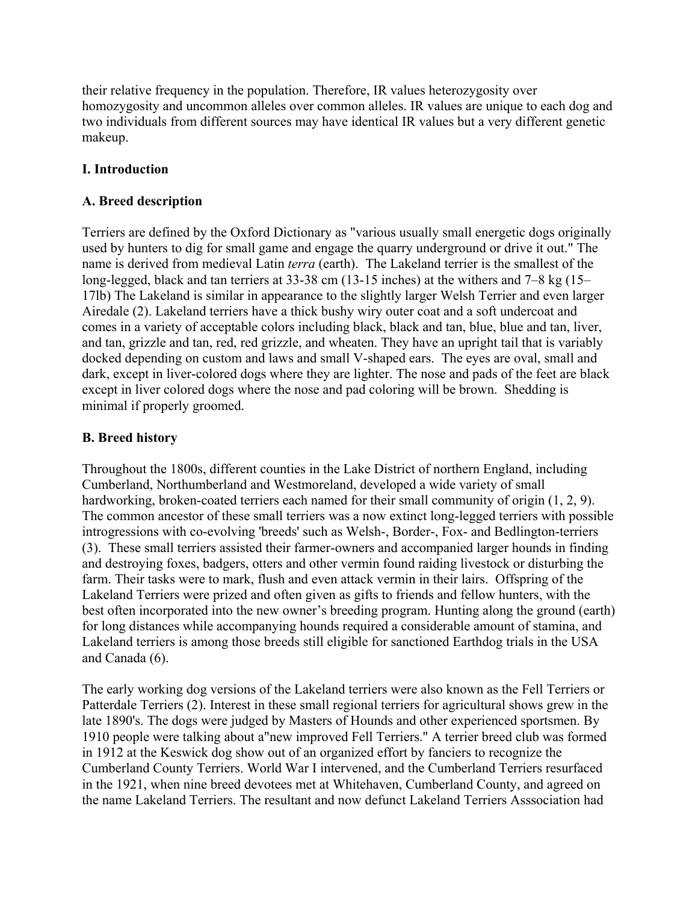their relative frequency in the population. Therefore, IR values heterozygosity over homozygosity and uncommon alleles over common alleles. IR values are unique to each dog and two individuals from different sources may have identical IR values but a very different genetic makeup.

## **I. Introduction**

## **A. Breed description**

Terriers are defined by the Oxford Dictionary as "various usually small energetic dogs originally used by hunters to dig for small game and engage the quarry underground or drive it out." The name is derived from medieval Latin *terra* (earth). The Lakeland terrier is the smallest of the long-legged, black and tan terriers at 33-38 cm (13-15 inches) at the withers and 7–8 kg (15– 17lb) The Lakeland is similar in appearance to the slightly larger Welsh Terrier and even larger Airedale (2). Lakeland terriers have a thick bushy wiry outer coat and a soft undercoat and comes in a variety of acceptable colors including black, black and tan, blue, blue and tan, liver, and tan, grizzle and tan, red, red grizzle, and wheaten. They have an upright tail that is variably docked depending on custom and laws and small V-shaped ears. The eyes are oval, small and dark, except in liver-colored dogs where they are lighter. The nose and pads of the feet are black except in liver colored dogs where the nose and pad coloring will be brown. Shedding is minimal if properly groomed.

## **B. Breed history**

Throughout the 1800s, different counties in the Lake District of northern England, including Cumberland, Northumberland and Westmoreland, developed a wide variety of small hardworking, broken-coated terriers each named for their small community of origin  $(1, 2, 9)$ . The common ancestor of these small terriers was a now extinct long-legged terriers with possible introgressions with co-evolving 'breeds' such as Welsh-, Border-, Fox- and Bedlington-terriers (3). These small terriers assisted their farmer-owners and accompanied larger hounds in finding and destroying foxes, badgers, otters and other vermin found raiding livestock or disturbing the farm. Their tasks were to mark, flush and even attack vermin in their lairs. Offspring of the Lakeland Terriers were prized and often given as gifts to friends and fellow hunters, with the best often incorporated into the new owner's breeding program. Hunting along the ground (earth) for long distances while accompanying hounds required a considerable amount of stamina, and Lakeland terriers is among those breeds still eligible for sanctioned Earthdog trials in the USA and Canada (6).

The early working dog versions of the Lakeland terriers were also known as the Fell Terriers or Patterdale Terriers (2). Interest in these small regional terriers for agricultural shows grew in the late 1890's. The dogs were judged by Masters of Hounds and other experienced sportsmen. By 1910 people were talking about a"new improved Fell Terriers." A terrier breed club was formed in 1912 at the Keswick dog show out of an organized effort by fanciers to recognize the Cumberland County Terriers. World War I intervened, and the Cumberland Terriers resurfaced in the 1921, when nine breed devotees met at Whitehaven, Cumberland County, and agreed on the name Lakeland Terriers. The resultant and now defunct Lakeland Terriers Asssociation had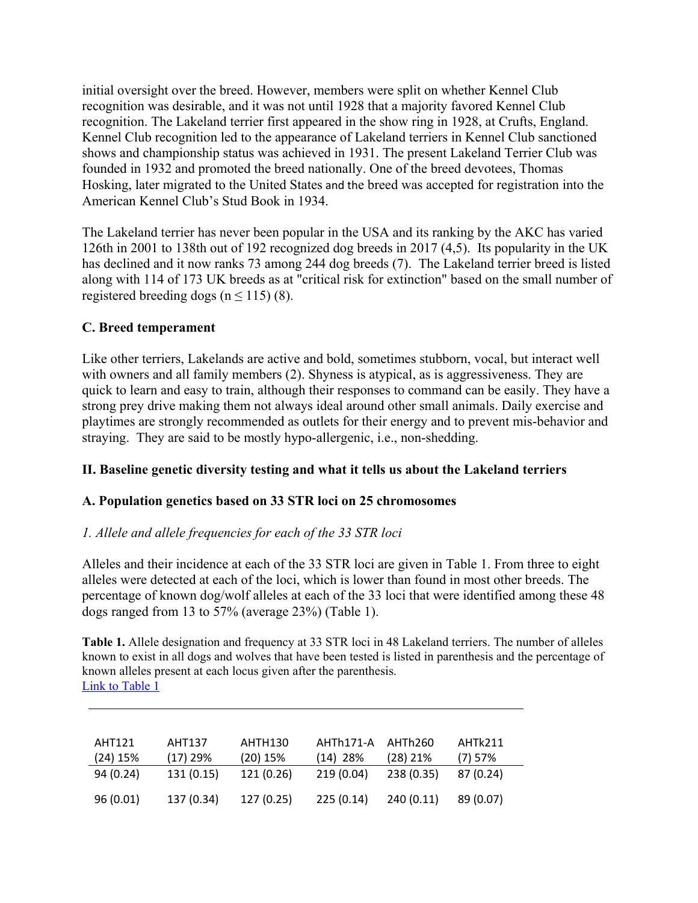initial oversight over the breed. However, members were split on whether Kennel Club recognition was desirable, and it was not until 1928 that a majority favored Kennel Club recognition. The Lakeland terrier first appeared in the show ring in 1928, at Crufts, England. Kennel Club recognition led to the appearance of Lakeland terriers in Kennel Club sanctioned shows and championship status was achieved in 1931. The present Lakeland Terrier Club was founded in 1932 and promoted the breed nationally. One of the breed devotees, Thomas Hosking, later migrated to the United States and the breed was accepted for registration into the American Kennel Club's Stud Book in 1934.

The Lakeland terrier has never been popular in the USA and its ranking by the AKC has varied 126th in 2001 to 138th out of 192 recognized dog breeds in 2017 (4,5). Its popularity in the UK has declined and it now ranks 73 among 244 dog breeds (7). The Lakeland terrier breed is listed along with 114 of 173 UK breeds as at "critical risk for extinction" based on the small number of registered breeding dogs ( $n \le 115$ ) (8).

## **C. Breed temperament**

Like other terriers, Lakelands are active and bold, sometimes stubborn, vocal, but interact well with owners and all family members (2). Shyness is atypical, as is aggressiveness. They are quick to learn and easy to train, although their responses to command can be easily. They have a strong prey drive making them not always ideal around other small animals. Daily exercise and playtimes are strongly recommended as outlets for their energy and to prevent mis-behavior and straying. They are said to be mostly hypo-allergenic, i.e., non-shedding.

## **II. Baseline genetic diversity testing and what it tells us about the Lakeland terriers**

## **A. Population genetics based on 33 STR loci on 25 chromosomes**

#### *1. Allele and allele frequencies for each of the 33 STR loci*

Alleles and their incidence at each of the 33 STR loci are given in Table 1. From three to eight alleles were detected at each of the loci, which is lower than found in most other breeds. The percentage of known dog/wolf alleles at each of the 33 loci that were identified among these 48 dogs ranged from 13 to 57% (average 23%) (Table 1).

**Table 1.** Allele designation and frequency at 33 STR loci in 48 Lakeland terriers. The number of alleles known to exist in all dogs and wolves that have been tested is listed in parenthesis and the percentage of known alleles present at each locus given after the parenthesis. Link to Table 1

| AHT121<br>$(24)$ 15% | AHT137<br>$(17)$ 29% | AHTH130<br>$(20)$ 15% | AHTh171-A<br>$(14)$ 28% | AHTh260<br>$(28)$ 21% | AHTk211<br>$(7)$ 57% |
|----------------------|----------------------|-----------------------|-------------------------|-----------------------|----------------------|
| 94 (0.24)            | 131 (0.15)           | 121 (0.26)            | 219(0.04)               | 238 (0.35)            | 87(0.24)             |
| 96(0.01)             | 137 (0.34)           | 127(0.25)             | 225(0.14)               | 240(0.11)             | 89 (0.07)            |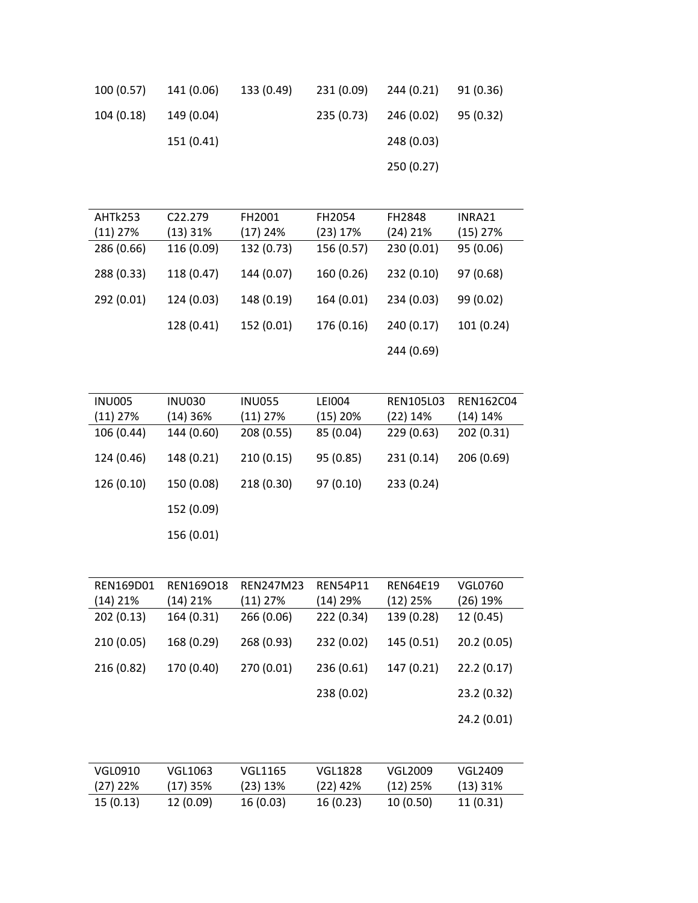| 100(0.57)  | 141 (0.06) | 133 (0.49) |            | 231 (0.09) 244 (0.21) 91 (0.36) |           |  |
|------------|------------|------------|------------|---------------------------------|-----------|--|
| 104 (0.18) | 149 (0.04) |            | 235 (0.73) | 246 (0.02)                      | 95 (0.32) |  |
|            | 151 (0.41) |            |            | 248 (0.03)                      |           |  |
|            |            |            |            | 250 (0.27)                      |           |  |
|            |            |            |            |                                 |           |  |

| AHTk253    | C <sub>22</sub> .279 | FH2001     | FH2054     | <b>FH2848</b> | INRA21     |
|------------|----------------------|------------|------------|---------------|------------|
| $(11)$ 27% | $(13)$ 31%           | $(17)$ 24% | (23) 17%   | $(24)$ 21%    | $(15)$ 27% |
| 286 (0.66) | 116 (0.09)           | 132 (0.73) | 156 (0.57) | 230 (0.01)    | 95 (0.06)  |
| 288 (0.33) | 118 (0.47)           | 144 (0.07) | 160 (0.26) | 232 (0.10)    | 97 (0.68)  |
| 292 (0.01) | 124 (0.03)           | 148 (0.19) | 164 (0.01) | 234 (0.03)    | 99 (0.02)  |
|            | 128 (0.41)           | 152 (0.01) | 176 (0.16) | 240 (0.17)    | 101(0.24)  |
|            |                      |            |            | 244 (0.69)    |            |

| <b>INU005</b> | <b>INU030</b> | <b>INU055</b> | LEI004     | <b>REN105L03</b> | <b>REN162C04</b> |
|---------------|---------------|---------------|------------|------------------|------------------|
| $(11)$ 27%    | $(14)$ 36%    | $(11)$ 27%    | $(15)$ 20% | $(22)$ 14%       | $(14)$ 14%       |
| 106 (0.44)    | 144 (0.60)    | 208 (0.55)    | 85 (0.04)  | 229(0.63)        | 202 (0.31)       |
| 124 (0.46)    | 148 (0.21)    | 210(0.15)     | 95 (0.85)  | 231 (0.14)       | 206 (0.69)       |
| 126 (0.10)    | 150 (0.08)    | 218 (0.30)    | 97(0.10)   | 233 (0.24)       |                  |
|               | 152 (0.09)    |               |            |                  |                  |
|               | 156 (0.01)    |               |            |                  |                  |

| REN169D01  | REN169018  | REN247M23  | <b>REN54P11</b> | <b>REN64E19</b> | <b>VGL0760</b> |
|------------|------------|------------|-----------------|-----------------|----------------|
| $(14)$ 21% | (14) 21%   | $(11)$ 27% | (14) 29%        | $(12)$ 25%      | $(26)$ 19%     |
| 202 (0.13) | 164 (0.31) | 266 (0.06) | 222 (0.34)      | 139 (0.28)      | 12 (0.45)      |
| 210 (0.05) | 168 (0.29) | 268 (0.93) | 232 (0.02)      | 145 (0.51)      | 20.2(0.05)     |
| 216 (0.82) | 170 (0.40) | 270 (0.01) | 236 (0.61)      | 147 (0.21)      | 22.2(0.17)     |
|            |            |            | 238 (0.02)      |                 | 23.2(0.32)     |
|            |            |            |                 |                 | 24.2 (0.01)    |

| VGL0910   | VGL1063    | VGL1165   | VGL1828    | VGL2009    | VGL2409  |
|-----------|------------|-----------|------------|------------|----------|
| (27) 22%  | $(17)$ 35% | (23) 13%  | $(22)$ 42% | $(12)$ 25% | (13) 31% |
| 15 (0.13) | 12 (0.09)  | 16 (0.03) | 16(0.23)   | 10 (0.50)  | 11(0.31) |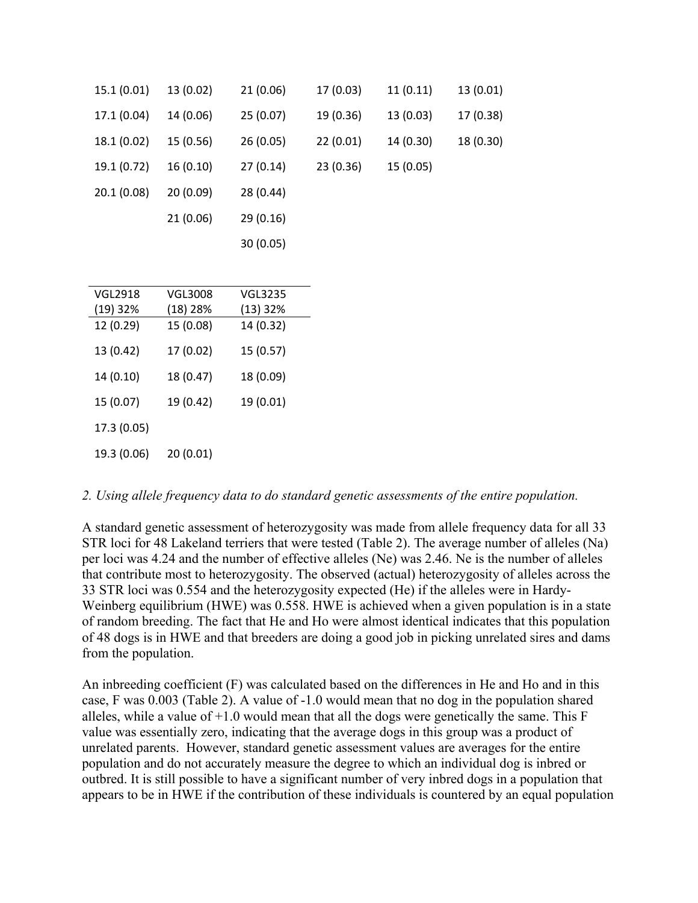| 15.1 (0.01) | 13 (0.02) | 21 (0.06) | 17 (0.03) | 11(0.11)  | 13 (0.01) |
|-------------|-----------|-----------|-----------|-----------|-----------|
| 17.1 (0.04) | 14 (0.06) | 25(0.07)  | 19 (0.36) | 13 (0.03) | 17 (0.38) |
| 18.1 (0.02) | 15 (0.56) | 26(0.05)  | 22 (0.01) | 14 (0.30) | 18 (0.30) |
| 19.1 (0.72) | 16 (0.10) | 27(0.14)  | 23 (0.36) | 15 (0.05) |           |
| 20.1(0.08)  | 20(0.09)  | 28 (0.44) |           |           |           |
|             | 21 (0.06) | 29(0.16)  |           |           |           |
|             |           | 30(0.05)  |           |           |           |
|             |           |           |           |           |           |
| VGL2918     | VGL3008   | VGL3235   |           |           |           |
| $(19)$ 32%  | (18) 28%  | (13) 32%  |           |           |           |
| 12 (0.29)   | 15 (0.08) | 14 (0.32) |           |           |           |
|             |           |           |           |           |           |

| 13 (0.42)   | 17(0.02)  | 15(0.57)  |
|-------------|-----------|-----------|
| 14(0.10)    | 18 (0.47) | 18 (0.09) |
| 15 (0.07)   | 19 (0.42) | 19 (0.01) |
| 17.3 (0.05) |           |           |
| 19.3 (0.06) | 20(0.01)  |           |

#### *2. Using allele frequency data to do standard genetic assessments of the entire population.*

A standard genetic assessment of heterozygosity was made from allele frequency data for all 33 STR loci for 48 Lakeland terriers that were tested (Table 2). The average number of alleles (Na) per loci was 4.24 and the number of effective alleles (Ne) was 2.46. Ne is the number of alleles that contribute most to heterozygosity. The observed (actual) heterozygosity of alleles across the 33 STR loci was 0.554 and the heterozygosity expected (He) if the alleles were in Hardy-Weinberg equilibrium (HWE) was 0.558. HWE is achieved when a given population is in a state of random breeding. The fact that He and Ho were almost identical indicates that this population of 48 dogs is in HWE and that breeders are doing a good job in picking unrelated sires and dams from the population.

An inbreeding coefficient (F) was calculated based on the differences in He and Ho and in this case, F was 0.003 (Table 2). A value of -1.0 would mean that no dog in the population shared alleles, while a value of  $+1.0$  would mean that all the dogs were genetically the same. This F value was essentially zero, indicating that the average dogs in this group was a product of unrelated parents. However, standard genetic assessment values are averages for the entire population and do not accurately measure the degree to which an individual dog is inbred or outbred. It is still possible to have a significant number of very inbred dogs in a population that appears to be in HWE if the contribution of these individuals is countered by an equal population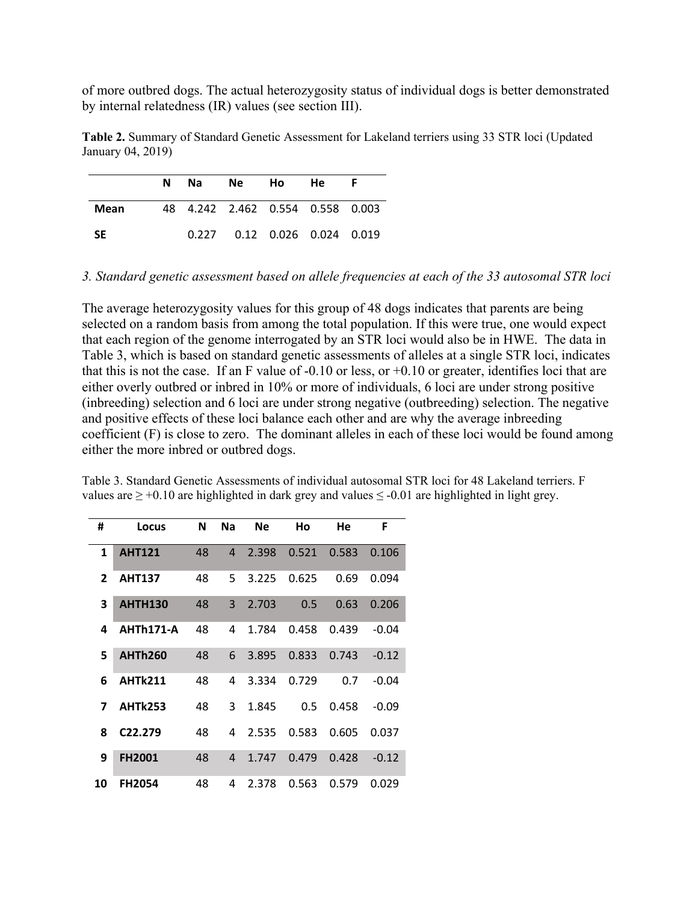of more outbred dogs. The actual heterozygosity status of individual dogs is better demonstrated by internal relatedness (IR) values (see section III).

| Table 2. Summary of Standard Genetic Assessment for Lakeland terriers using 33 STR loci (Updated |  |  |
|--------------------------------------------------------------------------------------------------|--|--|
| January 04, 2019)                                                                                |  |  |

|      | N | Na l  | Ne Ho                            | He.                    |  |
|------|---|-------|----------------------------------|------------------------|--|
| Mean |   |       | 48 4.242 2.462 0.554 0.558 0.003 |                        |  |
| -SE  |   | 0.227 |                                  | 0.12 0.026 0.024 0.019 |  |

*3. Standard genetic assessment based on allele frequencies at each of the 33 autosomal STR loci* 

The average heterozygosity values for this group of 48 dogs indicates that parents are being selected on a random basis from among the total population. If this were true, one would expect that each region of the genome interrogated by an STR loci would also be in HWE. The data in Table 3, which is based on standard genetic assessments of alleles at a single STR loci, indicates that this is not the case. If an F value of  $-0.10$  or less, or  $+0.10$  or greater, identifies loci that are either overly outbred or inbred in 10% or more of individuals, 6 loci are under strong positive (inbreeding) selection and 6 loci are under strong negative (outbreeding) selection. The negative and positive effects of these loci balance each other and are why the average inbreeding coefficient (F) is close to zero. The dominant alleles in each of these loci would be found among either the more inbred or outbred dogs.

Table 3. Standard Genetic Assessments of individual autosomal STR loci for 48 Lakeland terriers. F values are  $\geq$  +0.10 are highlighted in dark grey and values  $\leq$  -0.01 are highlighted in light grey.

| #              | Locus                | N  | <b>Na</b>      | <b>Ne</b> | Ho    | He    | F       |
|----------------|----------------------|----|----------------|-----------|-------|-------|---------|
| 1              | <b>AHT121</b>        | 48 | $\overline{4}$ | 2.398     | 0.521 | 0.583 | 0.106   |
| $\overline{2}$ | <b>AHT137</b>        | 48 | 5              | 3.225     | 0.625 | 0.69  | 0.094   |
| 3              | <b>AHTH130</b>       | 48 | $\overline{3}$ | 2.703     | 0.5   | 0.63  | 0.206   |
| 4              | <b>AHTh171-A</b>     | 48 | 4              | 1.784     | 0.458 | 0.439 | $-0.04$ |
| 5              | <b>AHTh260</b>       | 48 | 6              | 3.895     | 0.833 | 0.743 | $-0.12$ |
| 6              | <b>AHTk211</b>       | 48 | 4              | 3.334     | 0.729 | 0.7   | $-0.04$ |
| 7              | <b>AHTk253</b>       | 48 | 3              | 1.845     | 0.5   | 0.458 | $-0.09$ |
| 8              | C <sub>22</sub> .279 | 48 | 4              | 2.535     | 0.583 | 0.605 | 0.037   |
| 9              | <b>FH2001</b>        | 48 | 4              | 1.747     | 0.479 | 0.428 | $-0.12$ |
| 10             | <b>FH2054</b>        | 48 | 4              | 2.378     | 0.563 | 0.579 | 0.029   |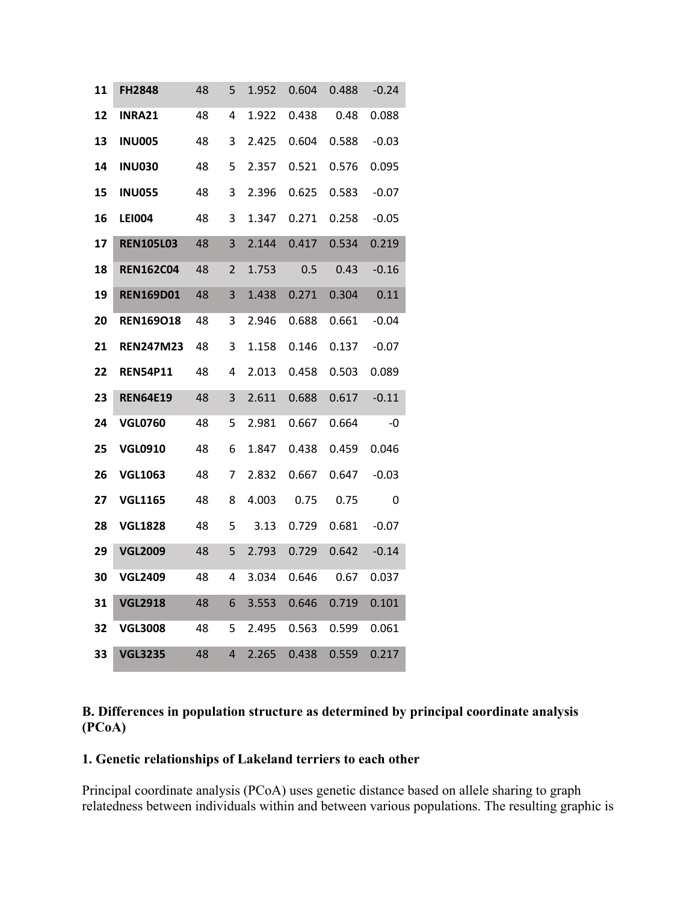| 11 | <b>FH2848</b>    | 48 | 5 | 1.952 | 0.604 | 0.488 | $-0.24$ |
|----|------------------|----|---|-------|-------|-------|---------|
| 12 | <b>INRA21</b>    | 48 | 4 | 1.922 | 0.438 | 0.48  | 0.088   |
| 13 | <b>INU005</b>    | 48 | 3 | 2.425 | 0.604 | 0.588 | $-0.03$ |
| 14 | <b>INU030</b>    | 48 | 5 | 2.357 | 0.521 | 0.576 | 0.095   |
| 15 | <b>INU055</b>    | 48 | 3 | 2.396 | 0.625 | 0.583 | $-0.07$ |
| 16 | LEI004           | 48 | 3 | 1.347 | 0.271 | 0.258 | $-0.05$ |
| 17 | <b>REN105L03</b> | 48 | 3 | 2.144 | 0.417 | 0.534 | 0.219   |
| 18 | <b>REN162C04</b> | 48 | 2 | 1.753 | 0.5   | 0.43  | $-0.16$ |
| 19 | <b>REN169D01</b> | 48 | 3 | 1.438 | 0.271 | 0.304 | 0.11    |
| 20 | <b>REN169018</b> | 48 | 3 | 2.946 | 0.688 | 0.661 | -0.04   |
| 21 | <b>REN247M23</b> | 48 | 3 | 1.158 | 0.146 | 0.137 | -0.07   |
| 22 | <b>REN54P11</b>  | 48 | 4 | 2.013 | 0.458 | 0.503 | 0.089   |
| 23 | <b>REN64E19</b>  | 48 | 3 | 2.611 | 0.688 | 0.617 | $-0.11$ |
| 24 | <b>VGL0760</b>   | 48 | 5 | 2.981 | 0.667 | 0.664 | -0      |
| 25 | <b>VGL0910</b>   | 48 | 6 | 1.847 | 0.438 | 0.459 | 0.046   |
| 26 | <b>VGL1063</b>   | 48 | 7 | 2.832 | 0.667 | 0.647 | $-0.03$ |
| 27 | <b>VGL1165</b>   | 48 | 8 | 4.003 | 0.75  | 0.75  | 0       |
| 28 | <b>VGL1828</b>   | 48 | 5 | 3.13  | 0.729 | 0.681 | -0.07   |
| 29 | <b>VGL2009</b>   | 48 | 5 | 2.793 | 0.729 | 0.642 | $-0.14$ |
| 30 | <b>VGL2409</b>   | 48 | 4 | 3.034 | 0.646 | 0.67  | 0.037   |
| 31 | <b>VGL2918</b>   | 48 | 6 | 3.553 | 0.646 | 0.719 | 0.101   |
| 32 | <b>VGL3008</b>   | 48 | 5 | 2.495 | 0.563 | 0.599 | 0.061   |
| 33 | <b>VGL3235</b>   | 48 | 4 | 2.265 | 0.438 | 0.559 | 0.217   |

## **B. Differences in population structure as determined by principal coordinate analysis (PCoA)**

#### **1. Genetic relationships of Lakeland terriers to each other**

Principal coordinate analysis (PCoA) uses genetic distance based on allele sharing to graph relatedness between individuals within and between various populations. The resulting graphic is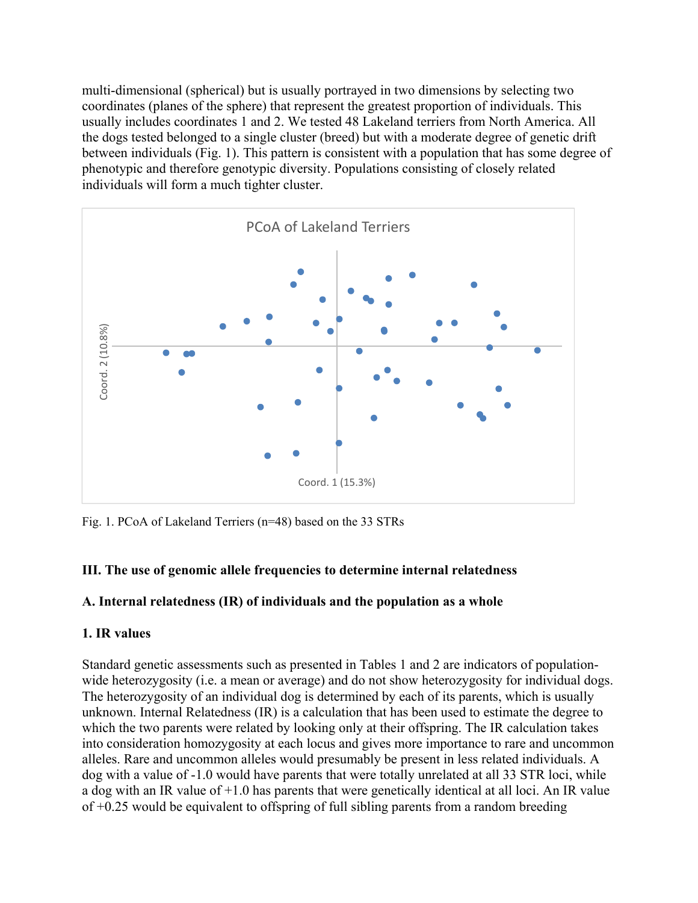multi-dimensional (spherical) but is usually portrayed in two dimensions by selecting two coordinates (planes of the sphere) that represent the greatest proportion of individuals. This usually includes coordinates 1 and 2. We tested 48 Lakeland terriers from North America. All the dogs tested belonged to a single cluster (breed) but with a moderate degree of genetic drift between individuals (Fig. 1). This pattern is consistent with a population that has some degree of phenotypic and therefore genotypic diversity. Populations consisting of closely related individuals will form a much tighter cluster.



Fig. 1. PCoA of Lakeland Terriers (n=48) based on the 33 STRs

## **III. The use of genomic allele frequencies to determine internal relatedness**

## **A. Internal relatedness (IR) of individuals and the population as a whole**

## **1. IR values**

Standard genetic assessments such as presented in Tables 1 and 2 are indicators of populationwide heterozygosity (i.e. a mean or average) and do not show heterozygosity for individual dogs. The heterozygosity of an individual dog is determined by each of its parents, which is usually unknown. Internal Relatedness (IR) is a calculation that has been used to estimate the degree to which the two parents were related by looking only at their offspring. The IR calculation takes into consideration homozygosity at each locus and gives more importance to rare and uncommon alleles. Rare and uncommon alleles would presumably be present in less related individuals. A dog with a value of -1.0 would have parents that were totally unrelated at all 33 STR loci, while a dog with an IR value of  $+1.0$  has parents that were genetically identical at all loci. An IR value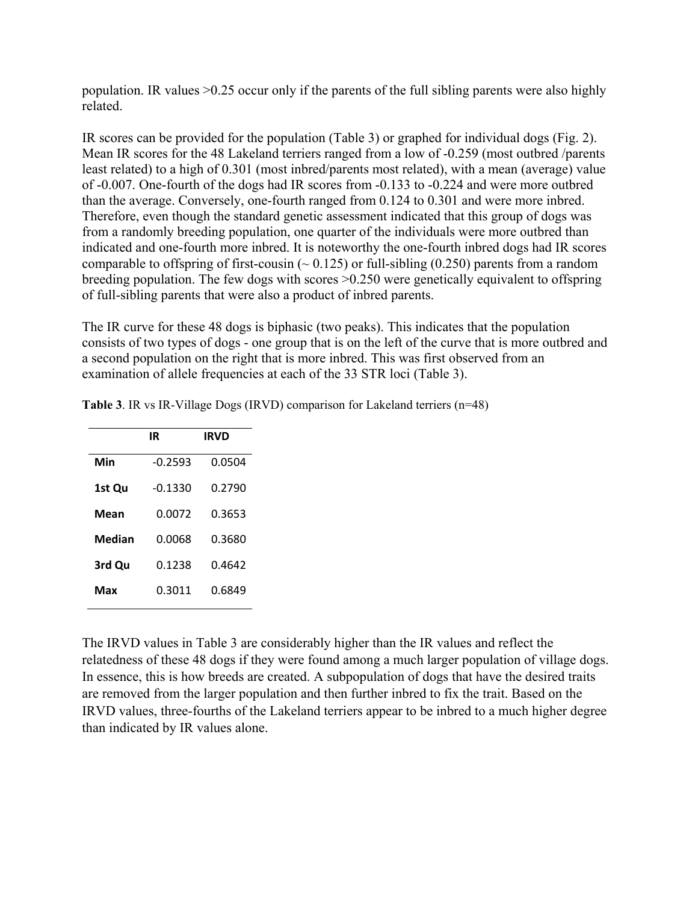population. IR values >0.25 occur only if the parents of the full sibling parents were also highly related.

IR scores can be provided for the population (Table 3) or graphed for individual dogs (Fig. 2). Mean IR scores for the 48 Lakeland terriers ranged from a low of -0.259 (most outbred /parents least related) to a high of 0.301 (most inbred/parents most related), with a mean (average) value of -0.007. One-fourth of the dogs had IR scores from -0.133 to -0.224 and were more outbred than the average. Conversely, one-fourth ranged from 0.124 to 0.301 and were more inbred. Therefore, even though the standard genetic assessment indicated that this group of dogs was from a randomly breeding population, one quarter of the individuals were more outbred than indicated and one-fourth more inbred. It is noteworthy the one-fourth inbred dogs had IR scores comparable to offspring of first-cousin ( $\sim 0.125$ ) or full-sibling (0.250) parents from a random breeding population. The few dogs with scores >0.250 were genetically equivalent to offspring of full-sibling parents that were also a product of inbred parents.

The IR curve for these 48 dogs is biphasic (two peaks). This indicates that the population consists of two types of dogs - one group that is on the left of the curve that is more outbred and a second population on the right that is more inbred. This was first observed from an examination of allele frequencies at each of the 33 STR loci (Table 3).

|        | IR        | <b>IRVD</b> |
|--------|-----------|-------------|
| Min    | $-0.2593$ | 0.0504      |
| 1st Qu | -0.1330   | 0.2790      |
| Mean   | 0.0072    | 0.3653      |
| Median | 0.0068    | 0.3680      |
| 3rd Qu | 0.1238    | 0.4642      |
| Max    | 0.3011    | 0.6849      |

**Table 3**. IR vs IR-Village Dogs (IRVD) comparison for Lakeland terriers (n=48)

The IRVD values in Table 3 are considerably higher than the IR values and reflect the relatedness of these 48 dogs if they were found among a much larger population of village dogs. In essence, this is how breeds are created. A subpopulation of dogs that have the desired traits are removed from the larger population and then further inbred to fix the trait. Based on the IRVD values, three-fourths of the Lakeland terriers appear to be inbred to a much higher degree than indicated by IR values alone.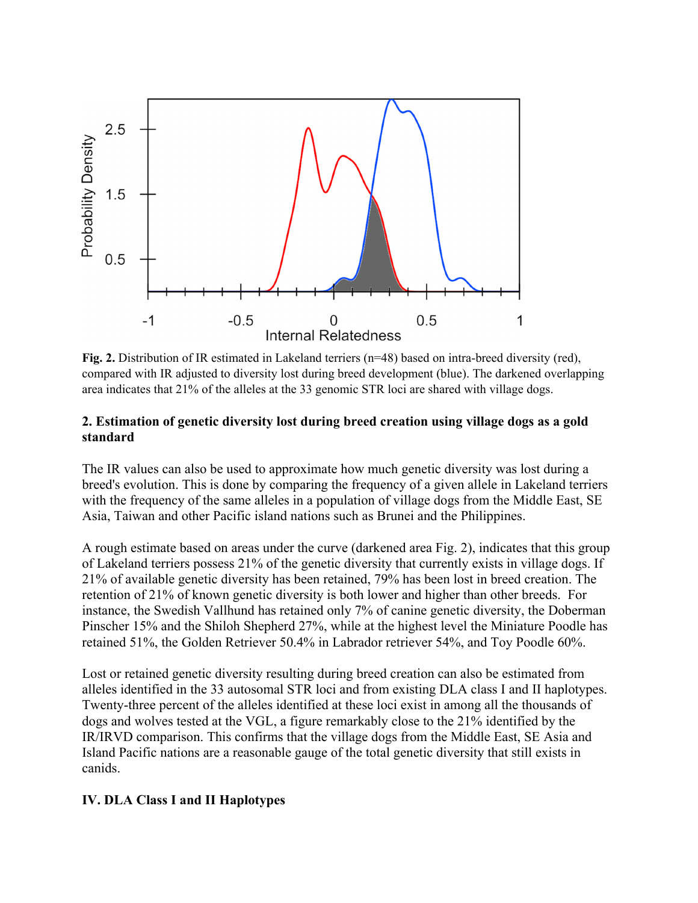

Fig. 2. Distribution of IR estimated in Lakeland terriers (n=48) based on intra-breed diversity (red), compared with IR adjusted to diversity lost during breed development (blue). The darkened overlapping area indicates that 21% of the alleles at the 33 genomic STR loci are shared with village dogs.

## **2. Estimation of genetic diversity lost during breed creation using village dogs as a gold standard**

The IR values can also be used to approximate how much genetic diversity was lost during a breed's evolution. This is done by comparing the frequency of a given allele in Lakeland terriers with the frequency of the same alleles in a population of village dogs from the Middle East, SE Asia, Taiwan and other Pacific island nations such as Brunei and the Philippines.

A rough estimate based on areas under the curve (darkened area Fig. 2), indicates that this group of Lakeland terriers possess 21% of the genetic diversity that currently exists in village dogs. If 21% of available genetic diversity has been retained, 79% has been lost in breed creation. The retention of 21% of known genetic diversity is both lower and higher than other breeds. For instance, the Swedish Vallhund has retained only 7% of canine genetic diversity, the Doberman Pinscher 15% and the Shiloh Shepherd 27%, while at the highest level the Miniature Poodle has retained 51%, the Golden Retriever 50.4% in Labrador retriever 54%, and Toy Poodle 60%.

Lost or retained genetic diversity resulting during breed creation can also be estimated from alleles identified in the 33 autosomal STR loci and from existing DLA class I and II haplotypes. Twenty-three percent of the alleles identified at these loci exist in among all the thousands of dogs and wolves tested at the VGL, a figure remarkably close to the 21% identified by the IR/IRVD comparison. This confirms that the village dogs from the Middle East, SE Asia and Island Pacific nations are a reasonable gauge of the total genetic diversity that still exists in canids.

## **IV. DLA Class I and II Haplotypes**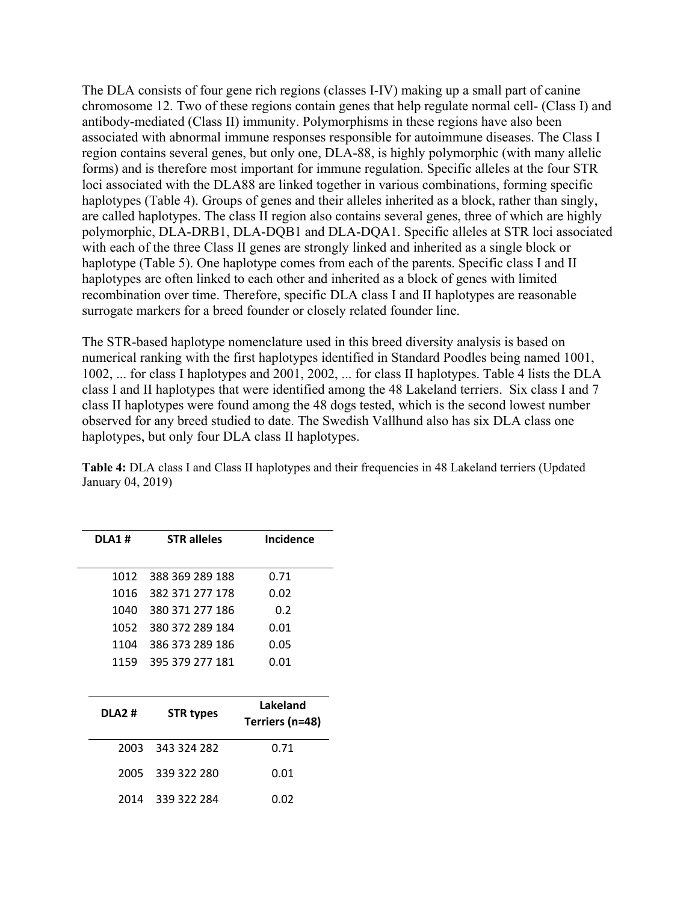The DLA consists of four gene rich regions (classes I-IV) making up a small part of canine chromosome 12. Two of these regions contain genes that help regulate normal cell- (Class I) and antibody-mediated (Class II) immunity. Polymorphisms in these regions have also been associated with abnormal immune responses responsible for autoimmune diseases. The Class I region contains several genes, but only one, DLA-88, is highly polymorphic (with many allelic forms) and is therefore most important for immune regulation. Specific alleles at the four STR loci associated with the DLA88 are linked together in various combinations, forming specific haplotypes (Table 4). Groups of genes and their alleles inherited as a block, rather than singly, are called haplotypes. The class II region also contains several genes, three of which are highly polymorphic, DLA-DRB1, DLA-DQB1 and DLA-DQA1. Specific alleles at STR loci associated with each of the three Class II genes are strongly linked and inherited as a single block or haplotype (Table 5). One haplotype comes from each of the parents. Specific class I and II haplotypes are often linked to each other and inherited as a block of genes with limited recombination over time. Therefore, specific DLA class I and II haplotypes are reasonable surrogate markers for a breed founder or closely related founder line.

The STR-based haplotype nomenclature used in this breed diversity analysis is based on numerical ranking with the first haplotypes identified in Standard Poodles being named 1001, 1002, ... for class I haplotypes and 2001, 2002, ... for class II haplotypes. Table 4 lists the DLA class I and II haplotypes that were identified among the 48 Lakeland terriers. Six class I and 7 class II haplotypes were found among the 48 dogs tested, which is the second lowest number observed for any breed studied to date. The Swedish Vallhund also has six DLA class one haplotypes, but only four DLA class II haplotypes.

| <b>DLA1#</b> |        | <b>STR alleles</b> | <b>Incidence</b>            |
|--------------|--------|--------------------|-----------------------------|
|              | 1012   | 388 369 289 188    | 0.71                        |
|              | 1016   | 382 371 277 178    | 0.02                        |
|              | 1040   | 380 371 277 186    | 0.2                         |
|              | 1052   | 380 372 289 184    | 0.01                        |
|              | 1104   | 386 373 289 186    | 0.05                        |
|              | 1159   | 395 379 277 181    | 0.01                        |
|              |        |                    |                             |
|              |        |                    |                             |
|              | DLA2 # | <b>STR types</b>   | Lakeland<br>Terriers (n=48) |
|              | 2003   | 343 324 282        | 0.71                        |
|              | 2005   | 339 322 280        | 0.01                        |

**Table 4:** DLA class I and Class II haplotypes and their frequencies in 48 Lakeland terriers (Updated January 04, 2019)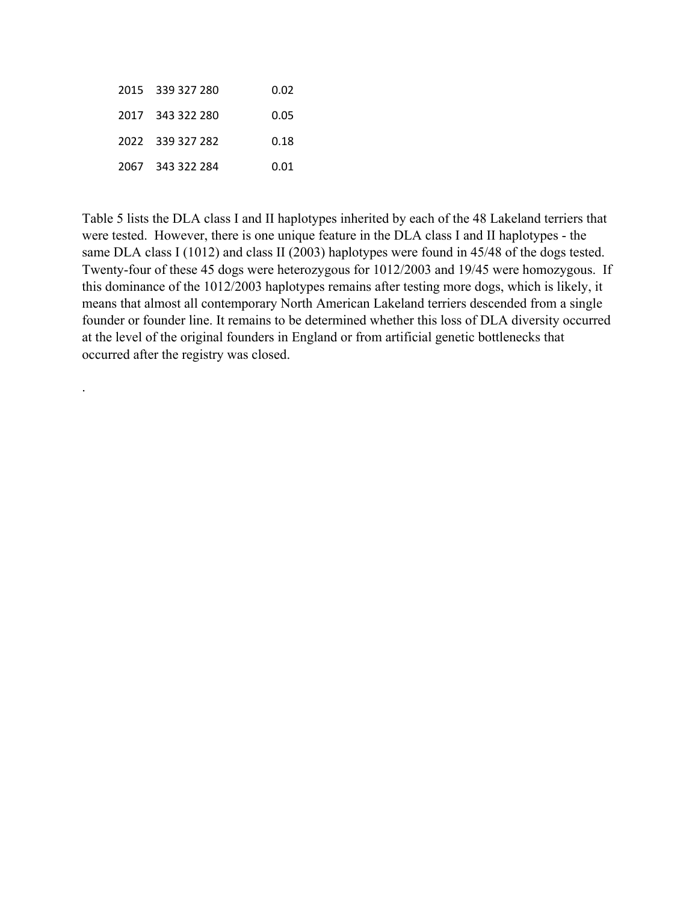| 2015 339 327 280 | 0.02 |
|------------------|------|
| 2017 343 322 280 | 0.05 |
| 2022 339 327 282 | 0.18 |
| 2067 343 322 284 | 0.01 |

.

Table 5 lists the DLA class I and II haplotypes inherited by each of the 48 Lakeland terriers that were tested. However, there is one unique feature in the DLA class I and II haplotypes - the same DLA class I (1012) and class II (2003) haplotypes were found in 45/48 of the dogs tested. Twenty-four of these 45 dogs were heterozygous for 1012/2003 and 19/45 were homozygous. If this dominance of the 1012/2003 haplotypes remains after testing more dogs, which is likely, it means that almost all contemporary North American Lakeland terriers descended from a single founder or founder line. It remains to be determined whether this loss of DLA diversity occurred at the level of the original founders in England or from artificial genetic bottlenecks that occurred after the registry was closed.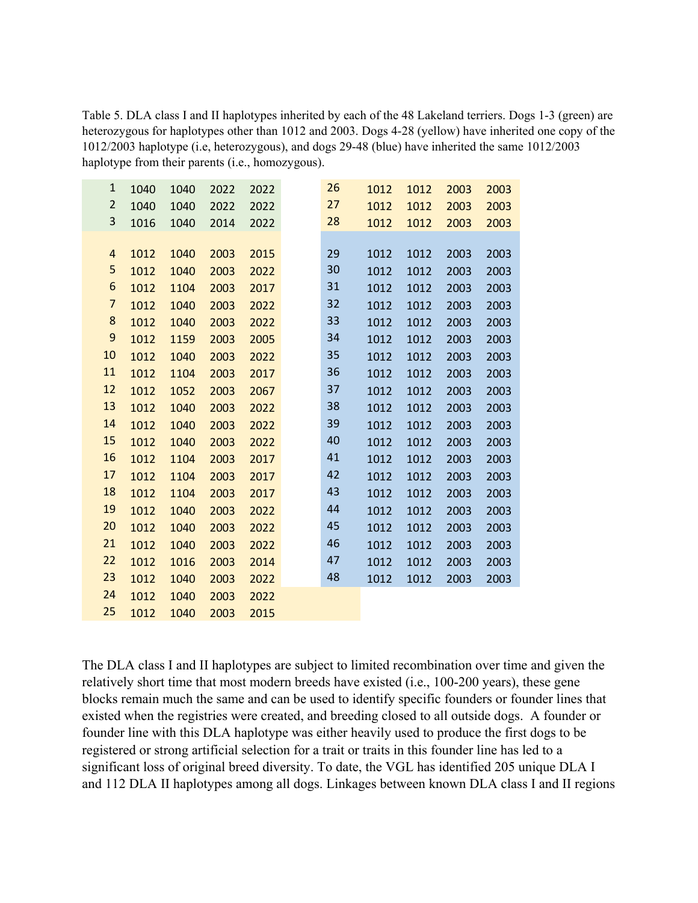Table 5. DLA class I and II haplotypes inherited by each of the 48 Lakeland terriers. Dogs 1-3 (green) are heterozygous for haplotypes other than 1012 and 2003. Dogs 4-28 (yellow) have inherited one copy of the 1012/2003 haplotype (i.e, heterozygous), and dogs 29-48 (blue) have inherited the same 1012/2003 haplotype from their parents (i.e., homozygous).

| $\mathbf{1}$            | 1040 | 1040 | 2022 | 2022 | 26 | 1012 | 1012 | 2003 | 2003 |
|-------------------------|------|------|------|------|----|------|------|------|------|
| $\overline{2}$          | 1040 | 1040 | 2022 | 2022 | 27 | 1012 | 1012 | 2003 | 2003 |
| 3                       | 1016 | 1040 | 2014 | 2022 | 28 | 1012 | 1012 | 2003 | 2003 |
|                         |      |      |      |      |    |      |      |      |      |
| $\overline{\mathbf{r}}$ | 1012 | 1040 | 2003 | 2015 | 29 | 1012 | 1012 | 2003 | 2003 |
| 5                       | 1012 | 1040 | 2003 | 2022 | 30 | 1012 | 1012 | 2003 | 2003 |
| 6                       | 1012 | 1104 | 2003 | 2017 | 31 | 1012 | 1012 | 2003 | 2003 |
| $\overline{7}$          | 1012 | 1040 | 2003 | 2022 | 32 | 1012 | 1012 | 2003 | 2003 |
| 8                       | 1012 | 1040 | 2003 | 2022 | 33 | 1012 | 1012 | 2003 | 2003 |
| 9                       | 1012 | 1159 | 2003 | 2005 | 34 | 1012 | 1012 | 2003 | 2003 |
| 10                      | 1012 | 1040 | 2003 | 2022 | 35 | 1012 | 1012 | 2003 | 2003 |
| 11                      | 1012 | 1104 | 2003 | 2017 | 36 | 1012 | 1012 | 2003 | 2003 |
| 12                      | 1012 | 1052 | 2003 | 2067 | 37 | 1012 | 1012 | 2003 | 2003 |
| 13                      | 1012 | 1040 | 2003 | 2022 | 38 | 1012 | 1012 | 2003 | 2003 |
| 14                      | 1012 | 1040 | 2003 | 2022 | 39 | 1012 | 1012 | 2003 | 2003 |
| 15                      | 1012 | 1040 | 2003 | 2022 | 40 | 1012 | 1012 | 2003 | 2003 |
| 16                      | 1012 | 1104 | 2003 | 2017 | 41 | 1012 | 1012 | 2003 | 2003 |
| 17                      | 1012 | 1104 | 2003 | 2017 | 42 | 1012 | 1012 | 2003 | 2003 |
| 18                      | 1012 | 1104 | 2003 | 2017 | 43 | 1012 | 1012 | 2003 | 2003 |
| 19                      | 1012 | 1040 | 2003 | 2022 | 44 | 1012 | 1012 | 2003 | 2003 |
| 20                      | 1012 | 1040 | 2003 | 2022 | 45 | 1012 | 1012 | 2003 | 2003 |
| 21                      | 1012 | 1040 | 2003 | 2022 | 46 | 1012 | 1012 | 2003 | 2003 |
| 22                      | 1012 | 1016 | 2003 | 2014 | 47 | 1012 | 1012 | 2003 | 2003 |
| 23                      | 1012 | 1040 | 2003 | 2022 | 48 | 1012 | 1012 | 2003 | 2003 |
| 24                      | 1012 | 1040 | 2003 | 2022 |    |      |      |      |      |
| 25                      | 1012 | 1040 | 2003 | 2015 |    |      |      |      |      |

The DLA class I and II haplotypes are subject to limited recombination over time and given the relatively short time that most modern breeds have existed (i.e., 100-200 years), these gene blocks remain much the same and can be used to identify specific founders or founder lines that existed when the registries were created, and breeding closed to all outside dogs. A founder or founder line with this DLA haplotype was either heavily used to produce the first dogs to be registered or strong artificial selection for a trait or traits in this founder line has led to a significant loss of original breed diversity. To date, the VGL has identified 205 unique DLA I and 112 DLA II haplotypes among all dogs. Linkages between known DLA class I and II regions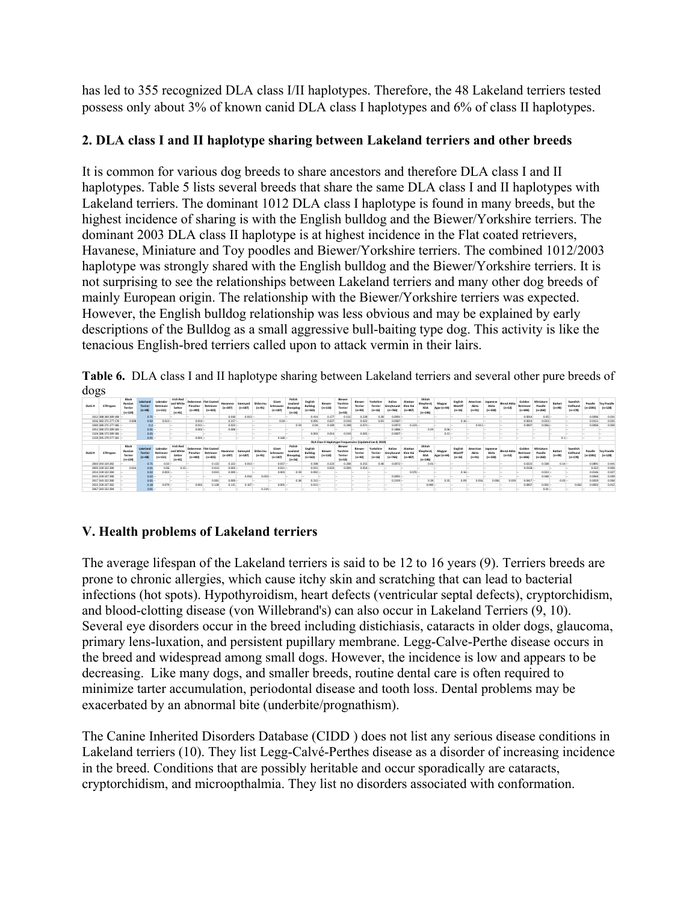has led to 355 recognized DLA class I/II haplotypes. Therefore, the 48 Lakeland terriers tested possess only about 3% of known canid DLA class I haplotypes and 6% of class II haplotypes.

## **2. DLA class I and II haplotype sharing between Lakeland terriers and other breeds**

It is common for various dog breeds to share ancestors and therefore DLA class I and II haplotypes. Table 5 lists several breeds that share the same DLA class I and II haplotypes with Lakeland terriers. The dominant 1012 DLA class I haplotype is found in many breeds, but the highest incidence of sharing is with the English bulldog and the Biewer/Yorkshire terriers. The dominant 2003 DLA class II haplotype is at highest incidence in the Flat coated retrievers, Havanese, Miniature and Toy poodles and Biewer/Yorkshire terriers. The combined 1012/2003 haplotype was strongly shared with the English bulldog and the Biewer/Yorkshire terriers. It is not surprising to see the relationships between Lakeland terriers and many other dog breeds of mainly European origin. The relationship with the Biewer/Yorkshire terriers was expected. However, the English bulldog relationship was less obvious and may be explained by early descriptions of the Bulldog as a small aggressive bull-baiting type dog. This activity is like the tenacious English-bred terriers called upon to attack vermin in their lairs.

**Table 6.** DLA class I and II haplotype sharing between Lakeland terriers and several other pure breeds of dogs

| DLA1#            | <b>STR types</b>       | Black<br>Russian<br>Terrier<br>$(n=124)$ | <b>Iakeland</b><br>Terries<br>$(n=48)$ | Labrador<br>Retriever<br>$(n=151)$ | Irish Red<br>and White<br>Setter<br>$(n=41)$        | Pinscher<br>$(n+492)$ | Doberman Flat Coated<br>Retriever<br>$(n=425)$ | Hayanese<br>$(n=397)$   | Samoved<br>$(n=187)$ | Shiba Inu<br>$(n = 91)$ | Giant<br>Schnauzer<br>$(n=187)$ | Polish<br>Lowland<br>Sheepdog<br>$(n=16)$ | English<br><b>Bulldog</b><br>$(n=163)$ | Biewer<br>$(n=110)$                                      | Biewer<br>Yorshire<br>Terrier<br>$(n=53)$ | Biewe<br>Terrier<br>$(n = 92)$  | Yorkshire<br>Terrier<br>$(n = 16)$ | Italian<br>Greyhound<br>$(n = 766)$ | Alaskan<br>Klee Kai<br>$(n=487)$ | Shiloh<br>Shephero<br><b>ISSA</b><br>$(n - 146)$  | Magyar<br>Agar (n=44) | English<br>Mastiff<br>$(n = 16)$ | American<br>Akita<br>$(n = 91)$        | Japanese<br>Akita<br>$(n = 330)$ | <b>Blend Akita</b><br>$(n=53)$ | Golden<br>Retriever<br>$(n + 696)$ | Miniature<br>Poodle<br>$(n = 260)$ | Barbet<br>$(n - 49)$ | Swedish<br>Valihund<br>$(n=178)$ | Poodle<br>$(n=2391)$  | <b>Toy Poodle</b><br>$(n=128)$ |
|------------------|------------------------|------------------------------------------|----------------------------------------|------------------------------------|-----------------------------------------------------|-----------------------|------------------------------------------------|-------------------------|----------------------|-------------------------|---------------------------------|-------------------------------------------|----------------------------------------|----------------------------------------------------------|-------------------------------------------|---------------------------------|------------------------------------|-------------------------------------|----------------------------------|---------------------------------------------------|-----------------------|----------------------------------|----------------------------------------|----------------------------------|--------------------------------|------------------------------------|------------------------------------|----------------------|----------------------------------|-----------------------|--------------------------------|
|                  | 1012 388 369 289 188 - |                                          | 0.71                                   |                                    |                                                     |                       |                                                | 0.018                   | $0.013 -$            |                         |                                 |                                           | 0.414                                  | 0.177                                                    | 0.151                                     | 0.228                           | 0.28                               | 0.0091                              |                                  |                                                   |                       |                                  |                                        |                                  |                                | 0.0014                             | $0.05 -$                           |                      |                                  | 0.0096                | 0.031                          |
|                  | 1016 382 371 277 178   | 0.008                                    | 0.02                                   | $0.013 -$                          |                                                     | 0.014                 |                                                | $0.217 -$               |                      |                         | $0.04 -$                        |                                           | 0.095                                  | 0.027                                                    | 0.019                                     | 0.022                           | 0.03                               | 0.0587                              |                                  |                                                   |                       | $0.16 -$                         |                                        |                                  |                                | 0.0014                             | $0.023 -$                          |                      |                                  | 0.0151                | 0.031                          |
|                  | 1040 380 371 277 186 - |                                          |                                        | $0.2 -$                            |                                                     | $0.011 -$             |                                                | $0.023 -$               |                      |                         |                                 | 0.59                                      | 0.04                                   | 0.109                                                    | 0.208                                     | $0.071 -$                       |                                    | 0.0973                              | $0.223 -$                        |                                                   |                       |                                  | $0.011 -$                              |                                  |                                | 0.0007                             | $0.006 -$                          |                      |                                  | 0.0006                | 0.004                          |
|                  | 1052 380 372 289 184 - |                                          | 0.01                                   |                                    |                                                     | $0.002 -$             |                                                | $0.008 -$               |                      |                         |                                 |                                           |                                        |                                                          |                                           |                                 |                                    | 0.1886                              |                                  | 0.39                                              | $0.06 -$              |                                  |                                        |                                  |                                |                                    |                                    |                      |                                  |                       |                                |
|                  | 1104 386 373 289 186   |                                          | 0.05                                   |                                    |                                                     |                       |                                                |                         |                      |                         |                                 |                                           | 0.003                                  | 0.014                                                    | 0.019                                     | 0.005                           |                                    | 0.0007                              |                                  |                                                   | $0.15 -$              |                                  |                                        |                                  |                                |                                    |                                    |                      |                                  |                       |                                |
|                  | 1159 395 379 277 181 - |                                          | 0.01                                   |                                    |                                                     | 0.001                 |                                                |                         |                      |                         | 0.168                           |                                           |                                        |                                                          |                                           |                                 |                                    |                                     |                                  |                                                   |                       |                                  |                                        |                                  |                                |                                    |                                    | $0.1 -$              |                                  |                       |                                |
|                  |                        |                                          |                                        |                                    |                                                     |                       |                                                |                         |                      |                         |                                 |                                           |                                        | DLA Class II Haplotype Frequencies (Updated Jan 8, 2019) |                                           |                                 |                                    |                                     |                                  |                                                   |                       |                                  |                                        |                                  |                                |                                    |                                    |                      |                                  |                       |                                |
|                  |                        |                                          |                                        |                                    |                                                     |                       |                                                |                         |                      |                         |                                 |                                           |                                        |                                                          |                                           |                                 |                                    |                                     |                                  |                                                   |                       |                                  |                                        |                                  |                                |                                    |                                    |                      |                                  |                       |                                |
| DLA2#            | STR types              | Black<br>Russian<br>Terrier<br>$(n=124)$ | <b>hnclodel</b><br>Terries<br>$(n=48)$ | Labrador<br>Retriever<br>$(n=151)$ | <b>Irish Reg</b><br>and White<br>Setter<br>$(n=41)$ | Pinscher<br>$(n+492)$ | Doberman Flat Coated<br>Retriever<br>$(n=425)$ | Hayanese<br>$(n = 397)$ | Samoved<br>$(n=187)$ | Shiba Inu<br>$(n = 91)$ | Giant<br>Schnauzer<br>$(n=187)$ | Polish<br>Lowland<br>Sheepdog<br>$(n=16)$ | English<br>Bulldog<br>$(n = 163)$      | Biewer<br>$(n=110)$                                      | Biewer<br>Yorshire<br>Terrier<br>$(n=53)$ | Biewer<br>Terrier<br>$(n = 92)$ | Yorkshire<br>Terrier<br>$(n = 16)$ | Italian<br>Greyhound<br>$(n = 766)$ | Alaskan<br>Klee Kai<br>$(n=487)$ | Shiloh<br>Shepherd.<br><b>ISSA</b><br>$(n - 146)$ | Magyar<br>Agar (n=44) | English<br>Mastiff<br>$(n = 16)$ | <b>American</b><br>Akita<br>$(n = 91)$ | Japanese<br>Akita<br>$(n=330)$   | <b>Blend Akita</b><br>$(n=53)$ | Golden<br>Retriever<br>$(n + 696)$ | Miniature<br>Poodle<br>$In - 260$  | Barbet<br>$(n - 49)$ | Swedish<br>Valihund<br>$(n=178)$ | Poodle<br>$(n = 2391$ | <b>Toy Poodle</b><br>$(n=128)$ |
| 2003 343 324 282 |                        |                                          | 0.71                                   | $0.02 -$                           |                                                     |                       | 0.132                                          | 0.222                   | $0.013 -$            |                         | 0.037                           |                                           | 0.598                                  | 0.223                                                    | 0.208                                     | 0.255                           | 0.38                               | 0.0072                              |                                  | $0.01 -$                                          |                       |                                  |                                        |                                  |                                | 0.0223                             | 0.508                              | $0.14 -$             |                                  | 0.0891                | 0.441                          |
| 2005 339 322 280 |                        | 0.016                                    | 0.01                                   | 0.06                               | $0.15 -$                                            |                       | 0.413                                          | $0.003 -$               |                      |                         | $0.011 -$                       |                                           | 0.015                                  | 0.023                                                    | 0.009                                     | 0.054                           |                                    |                                     |                                  |                                                   |                       |                                  |                                        |                                  |                                | 0.0158                             |                                    |                      |                                  | 0.022                 | 0.004                          |
| 2014 339 322 284 |                        |                                          | 0.02                                   | $0.003 -$                          |                                                     |                       | 0.033                                          | 0.009                   |                      |                         | 0.003                           | 0.59                                      | 0.092                                  |                                                          |                                           |                                 |                                    |                                     | $0.073 -$                        |                                                   |                       | $0.16 -$                         |                                        |                                  |                                |                                    | $0.023 -$                          |                      |                                  | 0.0146                | 0.027                          |
| 2015 339 327 280 |                        |                                          | 0.02                                   |                                    |                                                     |                       |                                                |                         | 0.016                | 0.033                   |                                 |                                           |                                        |                                                          |                                           |                                 |                                    | 0.0091                              |                                  |                                                   |                       |                                  |                                        |                                  |                                |                                    | $0.048 -$                          |                      |                                  | 0.0069                | 0.035                          |
| 2017 343 322 280 |                        |                                          | $0.05 -$                               |                                    |                                                     |                       | 0.001                                          | 0.009                   |                      |                         |                                 | 0.38                                      | $0.215 -$                              |                                                          |                                           |                                 |                                    | $0.2193 -$                          |                                  | 0.39                                              | 0.35                  | 0.09                             | 0.016                                  | 0.006                            | 0.019                          | 0.0417                             |                                    | 0.03                 |                                  | 0.0029                | 0.004                          |
| 2022 339 327 282 |                        |                                          | 0.18                                   | 0.079                              |                                                     | 0.002                 | 0.128                                          | 0.115                   | 0.107                |                         | 0.005                           |                                           | $0.015 -$                              |                                                          |                                           |                                 |                                    |                                     |                                  | 0.048                                             |                       |                                  |                                        |                                  |                                | 0.0007                             | $0.002 -$                          |                      | 0.062                            | 0.0002                | 0.012                          |

## **V. Health problems of Lakeland terriers**

The average lifespan of the Lakeland terriers is said to be 12 to 16 years (9). Terriers breeds are prone to chronic allergies, which cause itchy skin and scratching that can lead to bacterial infections (hot spots). Hypothyroidism, heart defects (ventricular septal defects), cryptorchidism, and blood-clotting disease (von Willebrand's) can also occur in Lakeland Terriers (9, 10). Several eye disorders occur in the breed including distichiasis, cataracts in older dogs, glaucoma, primary lens-luxation, and persistent pupillary membrane. Legg-Calve-Perthe disease occurs in the breed and widespread among small dogs. However, the incidence is low and appears to be decreasing. Like many dogs, and smaller breeds, routine dental care is often required to minimize tarter accumulation, periodontal disease and tooth loss. Dental problems may be exacerbated by an abnormal bite (underbite/prognathism).

The Canine Inherited Disorders Database (CIDD ) does not list any serious disease conditions in Lakeland terriers (10). They list Legg-Calvé-Perthes disease as a disorder of increasing incidence in the breed. Conditions that are possibly heritable and occur sporadically are cataracts, cryptorchidism, and microopthalmia. They list no disorders associated with conformation.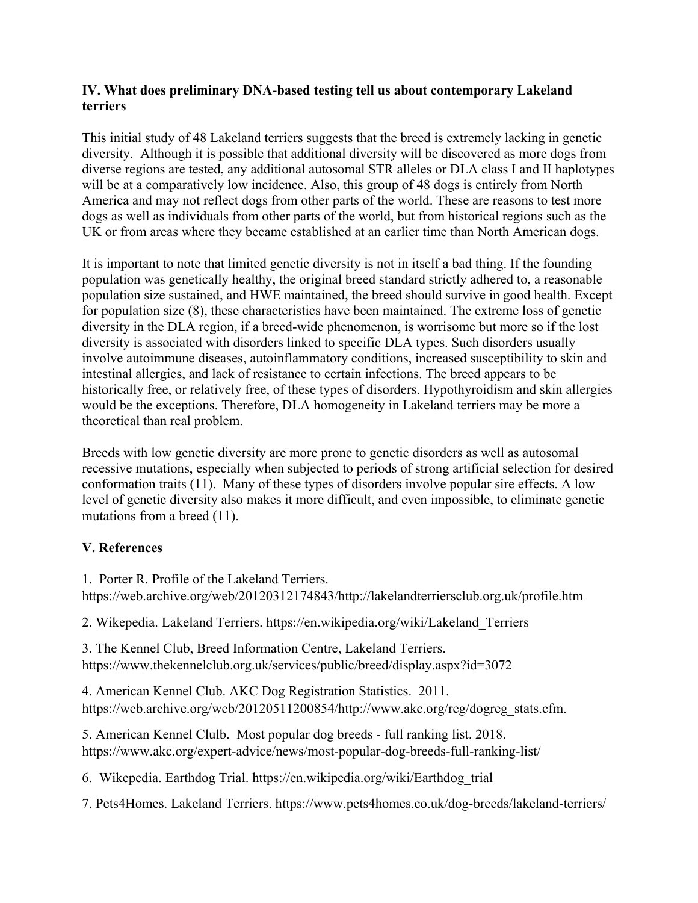#### **IV. What does preliminary DNA-based testing tell us about contemporary Lakeland terriers**

This initial study of 48 Lakeland terriers suggests that the breed is extremely lacking in genetic diversity. Although it is possible that additional diversity will be discovered as more dogs from diverse regions are tested, any additional autosomal STR alleles or DLA class I and II haplotypes will be at a comparatively low incidence. Also, this group of 48 dogs is entirely from North America and may not reflect dogs from other parts of the world. These are reasons to test more dogs as well as individuals from other parts of the world, but from historical regions such as the UK or from areas where they became established at an earlier time than North American dogs.

It is important to note that limited genetic diversity is not in itself a bad thing. If the founding population was genetically healthy, the original breed standard strictly adhered to, a reasonable population size sustained, and HWE maintained, the breed should survive in good health. Except for population size (8), these characteristics have been maintained. The extreme loss of genetic diversity in the DLA region, if a breed-wide phenomenon, is worrisome but more so if the lost diversity is associated with disorders linked to specific DLA types. Such disorders usually involve autoimmune diseases, autoinflammatory conditions, increased susceptibility to skin and intestinal allergies, and lack of resistance to certain infections. The breed appears to be historically free, or relatively free, of these types of disorders. Hypothyroidism and skin allergies would be the exceptions. Therefore, DLA homogeneity in Lakeland terriers may be more a theoretical than real problem.

Breeds with low genetic diversity are more prone to genetic disorders as well as autosomal recessive mutations, especially when subjected to periods of strong artificial selection for desired conformation traits (11). Many of these types of disorders involve popular sire effects. A low level of genetic diversity also makes it more difficult, and even impossible, to eliminate genetic mutations from a breed (11).

## **V. References**

1. Porter R. Profile of the Lakeland Terriers.

https://web.archive.org/web/20120312174843/http://lakelandterriersclub.org.uk/profile.htm

2. Wikepedia. Lakeland Terriers. https://en.wikipedia.org/wiki/Lakeland\_Terriers

3. The Kennel Club, Breed Information Centre, Lakeland Terriers. https://www.thekennelclub.org.uk/services/public/breed/display.aspx?id=3072

4. American Kennel Club. AKC Dog Registration Statistics. 2011. https://web.archive.org/web/20120511200854/http://www.akc.org/reg/dogreg\_stats.cfm.

5. American Kennel Clulb. Most popular dog breeds - full ranking list. 2018. https://www.akc.org/expert-advice/news/most-popular-dog-breeds-full-ranking-list/

6. Wikepedia. Earthdog Trial. https://en.wikipedia.org/wiki/Earthdog\_trial

7. Pets4Homes. Lakeland Terriers. https://www.pets4homes.co.uk/dog-breeds/lakeland-terriers/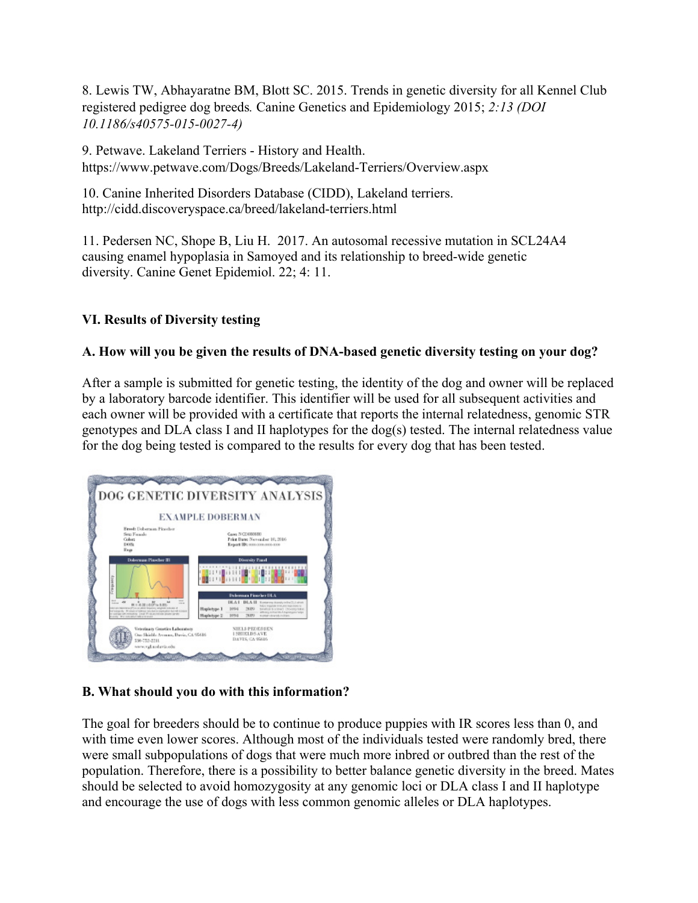8. Lewis TW, Abhayaratne BM, Blott SC. 2015. Trends in genetic diversity for all Kennel Club registered pedigree dog breeds*.* Canine Genetics and Epidemiology 2015; *2:13 (DOI 10.1186/s40575-015-0027-4)* 

9. Petwave. Lakeland Terriers - History and Health. https://www.petwave.com/Dogs/Breeds/Lakeland-Terriers/Overview.aspx

10. Canine Inherited Disorders Database (CIDD), Lakeland terriers. http://cidd.discoveryspace.ca/breed/lakeland-terriers.html

11. Pedersen NC, Shope B, Liu H. 2017. An autosomal recessive mutation in SCL24A4 causing enamel hypoplasia in Samoyed and its relationship to breed-wide genetic diversity. Canine Genet Epidemiol. 22; 4: 11.

## **VI. Results of Diversity testing**

## **A. How will you be given the results of DNA-based genetic diversity testing on your dog?**

After a sample is submitted for genetic testing, the identity of the dog and owner will be replaced by a laboratory barcode identifier. This identifier will be used for all subsequent activities and each owner will be provided with a certificate that reports the internal relatedness, genomic STR genotypes and DLA class I and II haplotypes for the dog(s) tested. The internal relatedness value for the dog being tested is compared to the results for every dog that has been tested.



## **B. What should you do with this information?**

The goal for breeders should be to continue to produce puppies with IR scores less than 0, and with time even lower scores. Although most of the individuals tested were randomly bred, there were small subpopulations of dogs that were much more inbred or outbred than the rest of the population. Therefore, there is a possibility to better balance genetic diversity in the breed. Mates should be selected to avoid homozygosity at any genomic loci or DLA class I and II haplotype and encourage the use of dogs with less common genomic alleles or DLA haplotypes.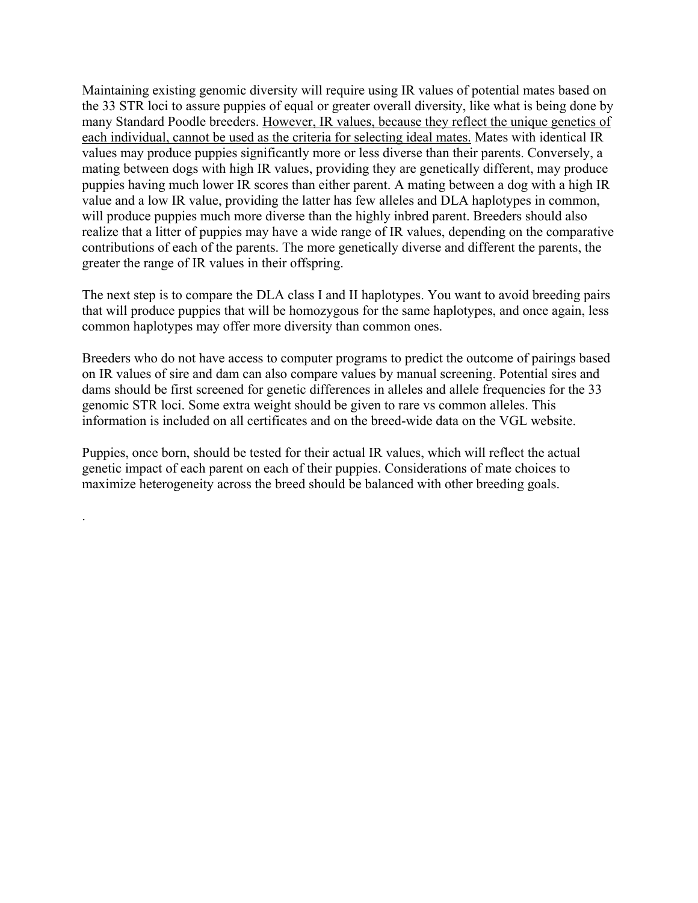Maintaining existing genomic diversity will require using IR values of potential mates based on the 33 STR loci to assure puppies of equal or greater overall diversity, like what is being done by many Standard Poodle breeders. However, IR values, because they reflect the unique genetics of each individual, cannot be used as the criteria for selecting ideal mates. Mates with identical IR values may produce puppies significantly more or less diverse than their parents. Conversely, a mating between dogs with high IR values, providing they are genetically different, may produce puppies having much lower IR scores than either parent. A mating between a dog with a high IR value and a low IR value, providing the latter has few alleles and DLA haplotypes in common, will produce puppies much more diverse than the highly inbred parent. Breeders should also realize that a litter of puppies may have a wide range of IR values, depending on the comparative contributions of each of the parents. The more genetically diverse and different the parents, the greater the range of IR values in their offspring.

The next step is to compare the DLA class I and II haplotypes. You want to avoid breeding pairs that will produce puppies that will be homozygous for the same haplotypes, and once again, less common haplotypes may offer more diversity than common ones.

Breeders who do not have access to computer programs to predict the outcome of pairings based on IR values of sire and dam can also compare values by manual screening. Potential sires and dams should be first screened for genetic differences in alleles and allele frequencies for the 33 genomic STR loci. Some extra weight should be given to rare vs common alleles. This information is included on all certificates and on the breed-wide data on the VGL website.

Puppies, once born, should be tested for their actual IR values, which will reflect the actual genetic impact of each parent on each of their puppies. Considerations of mate choices to maximize heterogeneity across the breed should be balanced with other breeding goals.

.